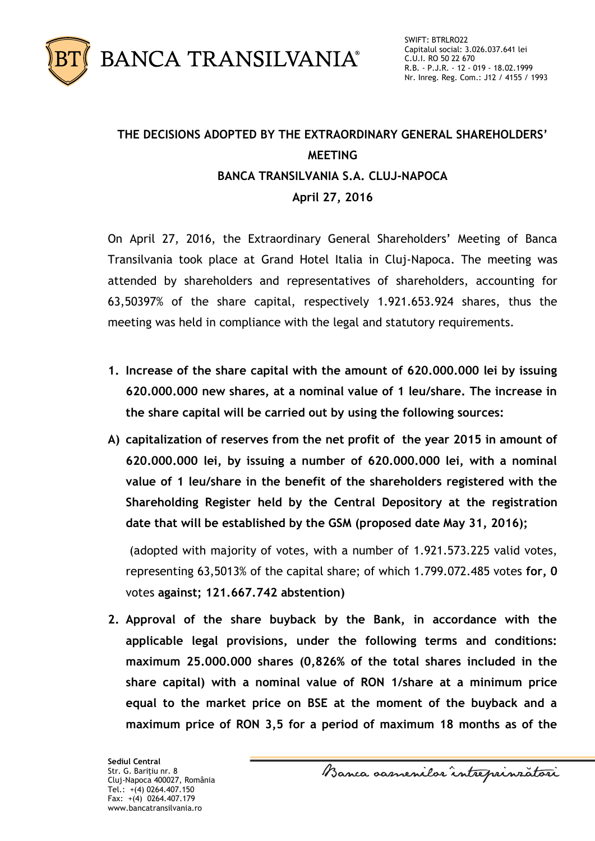

## **THE DECISIONS ADOPTED BY THE EXTRAORDINARY GENERAL SHAREHOLDERS' MEETING BANCA TRANSILVANIA S.A. CLUJ-NAPOCA April 27, 2016**

On April 27, 2016, the Extraordinary General Shareholders' Meeting of Banca Transilvania took place at Grand Hotel Italia in Cluj-Napoca. The meeting was attended by shareholders and representatives of shareholders, accounting for 63,50397% of the share capital, respectively 1.921.653.924 shares, thus the meeting was held in compliance with the legal and statutory requirements.

- **1. Increase of the share capital with the amount of 620.000.000 lei by issuing 620.000.000 new shares, at a nominal value of 1 leu/share. The increase in the share capital will be carried out by using the following sources:**
- **A) capitalization of reserves from the net profit of the year 2015 in amount of 620.000.000 lei, by issuing a number of 620.000.000 lei, with a nominal value of 1 leu/share in the benefit of the shareholders registered with the Shareholding Register held by the Central Depository at the registration date that will be established by the GSM (proposed date May 31, 2016);**

(adopted with majority of votes, with a number of 1.921.573.225 valid votes, representing 63,5013% of the capital share; of which 1.799.072.485 votes **for, 0**  votes **against; 121.667.742 abstention)**

**2. Approval of the share buyback by the Bank, in accordance with the applicable legal provisions, under the following terms and conditions: maximum 25.000.000 shares (0,826% of the total shares included in the share capital) with a nominal value of RON 1/share at a minimum price equal to the market price on BSE at the moment of the buyback and a maximum price of RON 3,5 for a period of maximum 18 months as of the**